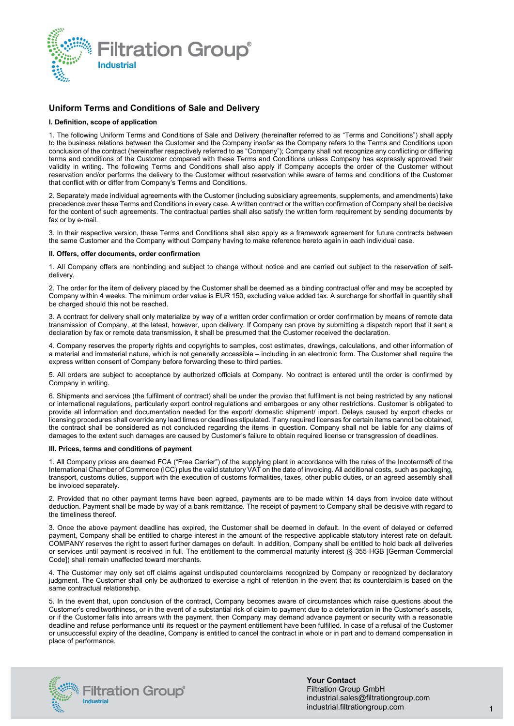

# **Uniform Terms and Conditions of Sale and Delivery**

# **I. Definition, scope of application**

1. The following Uniform Terms and Conditions of Sale and Delivery (hereinafter referred to as "Terms and Conditions") shall apply to the business relations between the Customer and the Company insofar as the Company refers to the Terms and Conditions upon conclusion of the contract (hereinafter respectively referred to as "Company"); Company shall not recognize any conflicting or differing terms and conditions of the Customer compared with these Terms and Conditions unless Company has expressly approved their validity in writing. The following Terms and Conditions shall also apply if Company accepts the order of the Customer without reservation and/or performs the delivery to the Customer without reservation while aware of terms and conditions of the Customer that conflict with or differ from Company's Terms and Conditions.

2. Separately made individual agreements with the Customer (including subsidiary agreements, supplements, and amendments) take precedence over these Terms and Conditions in every case. A written contract or the written confirmation of Company shall be decisive for the content of such agreements. The contractual parties shall also satisfy the written form requirement by sending documents by fax or by e-mail.

3. In their respective version, these Terms and Conditions shall also apply as a framework agreement for future contracts between the same Customer and the Company without Company having to make reference hereto again in each individual case.

### **II. Offers, offer documents, order confirmation**

1. All Company offers are nonbinding and subject to change without notice and are carried out subject to the reservation of selfdelivery.

2. The order for the item of delivery placed by the Customer shall be deemed as a binding contractual offer and may be accepted by Company within 4 weeks. The minimum order value is EUR 150, excluding value added tax. A surcharge for shortfall in quantity shall be charged should this not be reached.

3. A contract for delivery shall only materialize by way of a written order confirmation or order confirmation by means of remote data transmission of Company, at the latest, however, upon delivery. If Company can prove by submitting a dispatch report that it sent a declaration by fax or remote data transmission, it shall be presumed that the Customer received the declaration.

4. Company reserves the property rights and copyrights to samples, cost estimates, drawings, calculations, and other information of a material and immaterial nature, which is not generally accessible – including in an electronic form. The Customer shall require the express written consent of Company before forwarding these to third parties.

5. All orders are subject to acceptance by authorized officials at Company. No contract is entered until the order is confirmed by Company in writing.

6. Shipments and services (the fulfilment of contract) shall be under the proviso that fulfilment is not being restricted by any national or international regulations, particularly export control regulations and embargoes or any other restrictions. Customer is obligated to provide all information and documentation needed for the export/ domestic shipment/ import. Delays caused by export checks or licensing procedures shall override any lead times or deadlines stipulated. If any required licenses for certain items cannot be obtained, the contract shall be considered as not concluded regarding the items in question. Company shall not be liable for any claims of damages to the extent such damages are caused by Customer's failure to obtain required license or transgression of deadlines.

# **III. Prices, terms and conditions of payment**

1. All Company prices are deemed FCA ("Free Carrier") of the supplying plant in accordance with the rules of the Incoterms® of the International Chamber of Commerce (ICC) plus the valid statutory VAT on the date of invoicing. All additional costs, such as packaging, transport, customs duties, support with the execution of customs formalities, taxes, other public duties, or an agreed assembly shall be invoiced separately.

2. Provided that no other payment terms have been agreed, payments are to be made within 14 days from invoice date without deduction. Payment shall be made by way of a bank remittance. The receipt of payment to Company shall be decisive with regard to the timeliness thereof.

3. Once the above payment deadline has expired, the Customer shall be deemed in default. In the event of delayed or deferred payment, Company shall be entitled to charge interest in the amount of the respective applicable statutory interest rate on default. COMPANY reserves the right to assert further damages on default. In addition, Company shall be entitled to hold back all deliveries or services until payment is received in full. The entitlement to the commercial maturity interest (§ 355 HGB [German Commercial Code]) shall remain unaffected toward merchants.

4. The Customer may only set off claims against undisputed counterclaims recognized by Company or recognized by declaratory judgment. The Customer shall only be authorized to exercise a right of retention in the event that its counterclaim is based on the same contractual relationship.

5. In the event that, upon conclusion of the contract, Company becomes aware of circumstances which raise questions about the Customer's creditworthiness, or in the event of a substantial risk of claim to payment due to a deterioration in the Customer's assets, or if the Customer falls into arrears with the payment, then Company may demand advance payment or security with a reasonable deadline and refuse performance until its request or the payment entitlement have been fulfilled. In case of a refusal of the Customer or unsuccessful expiry of the deadline, Company is entitled to cancel the contract in whole or in part and to demand compensation in place of performance.



**Your Contact** Filtration Group GmbH industrial.sales@filtrationgroup.com industrial.filtrationgroup.com 1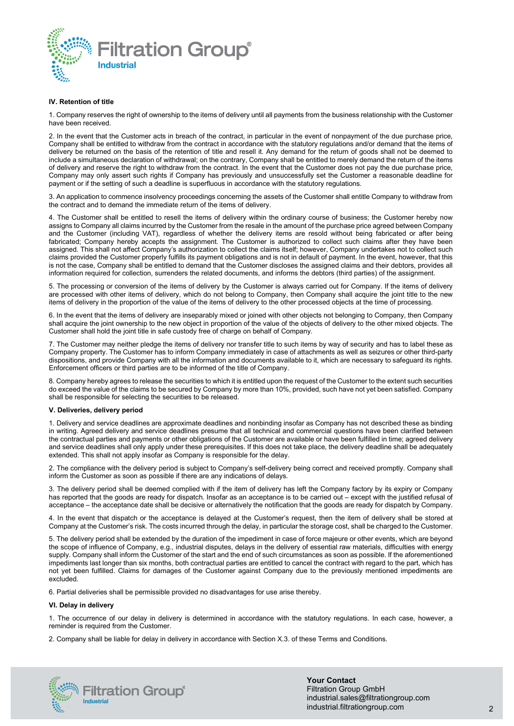

# **IV. Retention of title**

1. Company reserves the right of ownership to the items of delivery until all payments from the business relationship with the Customer have been received.

2. In the event that the Customer acts in breach of the contract, in particular in the event of nonpayment of the due purchase price, Company shall be entitled to withdraw from the contract in accordance with the statutory regulations and/or demand that the items of delivery be returned on the basis of the retention of title and resell it. Any demand for the return of goods shall not be deemed to include a simultaneous declaration of withdrawal; on the contrary, Company shall be entitled to merely demand the return of the items of delivery and reserve the right to withdraw from the contract. In the event that the Customer does not pay the due purchase price, Company may only assert such rights if Company has previously and unsuccessfully set the Customer a reasonable deadline for payment or if the setting of such a deadline is superfluous in accordance with the statutory regulations.

3. An application to commence insolvency proceedings concerning the assets of the Customer shall entitle Company to withdraw from the contract and to demand the immediate return of the items of delivery.

4. The Customer shall be entitled to resell the items of delivery within the ordinary course of business; the Customer hereby now assigns to Company all claims incurred by the Customer from the resale in the amount of the purchase price agreed between Company and the Customer (including VAT), regardless of whether the delivery items are resold without being fabricated or after being fabricated; Company hereby accepts the assignment. The Customer is authorized to collect such claims after they have been assigned. This shall not affect Company's authorization to collect the claims itself; however, Company undertakes not to collect such claims provided the Customer properly fulfills its payment obligations and is not in default of payment. In the event, however, that this is not the case, Company shall be entitled to demand that the Customer discloses the assigned claims and their debtors, provides all information required for collection, surrenders the related documents, and informs the debtors (third parties) of the assignment.

5. The processing or conversion of the items of delivery by the Customer is always carried out for Company. If the items of delivery are processed with other items of delivery, which do not belong to Company, then Company shall acquire the joint title to the new items of delivery in the proportion of the value of the items of delivery to the other processed objects at the time of processing.

6. In the event that the items of delivery are inseparably mixed or joined with other objects not belonging to Company, then Company shall acquire the joint ownership to the new object in proportion of the value of the objects of delivery to the other mixed objects. The Customer shall hold the joint title in safe custody free of charge on behalf of Company.

7. The Customer may neither pledge the items of delivery nor transfer title to such items by way of security and has to label these as Company property. The Customer has to inform Company immediately in case of attachments as well as seizures or other third-party dispositions, and provide Company with all the information and documents available to it, which are necessary to safeguard its rights. Enforcement officers or third parties are to be informed of the title of Company.

8. Company hereby agrees to release the securities to which it is entitled upon the request of the Customer to the extent such securities do exceed the value of the claims to be secured by Company by more than 10%, provided, such have not yet been satisfied. Company shall be responsible for selecting the securities to be released.

# **V. Deliveries, delivery period**

1. Delivery and service deadlines are approximate deadlines and nonbinding insofar as Company has not described these as binding in writing. Agreed delivery and service deadlines presume that all technical and commercial questions have been clarified between the contractual parties and payments or other obligations of the Customer are available or have been fulfilled in time; agreed delivery and service deadlines shall only apply under these prerequisites. If this does not take place, the delivery deadline shall be adequately extended. This shall not apply insofar as Company is responsible for the delay.

2. The compliance with the delivery period is subject to Company's self-delivery being correct and received promptly. Company shall inform the Customer as soon as possible if there are any indications of delays.

3. The delivery period shall be deemed complied with if the item of delivery has left the Company factory by its expiry or Company has reported that the goods are ready for dispatch. Insofar as an acceptance is to be carried out – except with the justified refusal of acceptance – the acceptance date shall be decisive or alternatively the notification that the goods are ready for dispatch by Company.

4. In the event that dispatch or the acceptance is delayed at the Customer's request, then the item of delivery shall be stored at Company at the Customer's risk. The costs incurred through the delay, in particular the storage cost, shall be charged to the Customer.

5. The delivery period shall be extended by the duration of the impediment in case of force majeure or other events, which are beyond the scope of influence of Company, e.g., industrial disputes, delays in the delivery of essential raw materials, difficulties with energy supply. Company shall inform the Customer of the start and the end of such circumstances as soon as possible. If the aforementioned impediments last longer than six months, both contractual parties are entitled to cancel the contract with regard to the part, which has not yet been fulfilled. Claims for damages of the Customer against Company due to the previously mentioned impediments are excluded.

6. Partial deliveries shall be permissible provided no disadvantages for use arise thereby.

# **VI. Delay in delivery**

1. The occurrence of our delay in delivery is determined in accordance with the statutory regulations. In each case, however, a reminder is required from the Customer.

2. Company shall be liable for delay in delivery in accordance with Section X.3. of these Terms and Conditions.



**Your Contact** Filtration Group GmbH industrial.sales@filtrationgroup.com industrial.filtrationgroup.com 2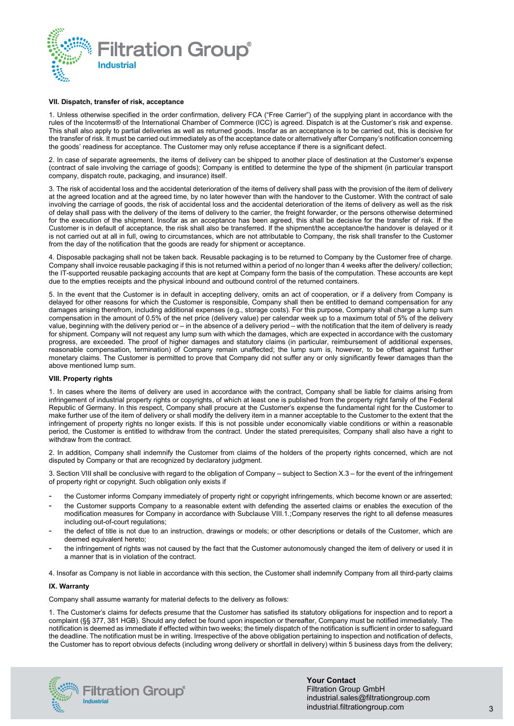

# **VII. Dispatch, transfer of risk, acceptance**

1. Unless otherwise specified in the order confirmation, delivery FCA ("Free Carrier") of the supplying plant in accordance with the rules of the Incoterms® of the International Chamber of Commerce (ICC) is agreed. Dispatch is at the Customer's risk and expense. This shall also apply to partial deliveries as well as returned goods. Insofar as an acceptance is to be carried out, this is decisive for the transfer of risk. It must be carried out immediately as of the acceptance date or alternatively after Company's notification concerning the goods' readiness for acceptance. The Customer may only refuse acceptance if there is a significant defect.

2. In case of separate agreements, the items of delivery can be shipped to another place of destination at the Customer's expense (contract of sale involving the carriage of goods); Company is entitled to determine the type of the shipment (in particular transport company, dispatch route, packaging, and insurance) itself.

3. The risk of accidental loss and the accidental deterioration of the items of delivery shall pass with the provision of the item of delivery at the agreed location and at the agreed time, by no later however than with the handover to the Customer. With the contract of sale involving the carriage of goods, the risk of accidental loss and the accidental deterioration of the items of delivery as well as the risk of delay shall pass with the delivery of the items of delivery to the carrier, the freight forwarder, or the persons otherwise determined for the execution of the shipment. Insofar as an acceptance has been agreed, this shall be decisive for the transfer of risk. If the Customer is in default of acceptance, the risk shall also be transferred. If the shipment/the acceptance/the handover is delayed or it is not carried out at all in full, owing to circumstances, which are not attributable to Company, the risk shall transfer to the Customer from the day of the notification that the goods are ready for shipment or acceptance.

4. Disposable packaging shall not be taken back. Reusable packaging is to be returned to Company by the Customer free of charge. Company shall invoice reusable packaging if this is not returned within a period of no longer than 4 weeks after the delivery/ collection; the IT-supported reusable packaging accounts that are kept at Company form the basis of the computation. These accounts are kept due to the empties receipts and the physical inbound and outbound control of the returned containers.

5. In the event that the Customer is in default in accepting delivery, omits an act of cooperation, or if a delivery from Company is delayed for other reasons for which the Customer is responsible, Company shall then be entitled to demand compensation for any damages arising therefrom, including additional expenses (e.g., storage costs). For this purpose, Company shall charge a lump sum compensation in the amount of 0.5% of the net price (delivery value) per calendar week up to a maximum total of 5% of the delivery value, beginning with the delivery period or – in the absence of a delivery period – with the notification that the item of delivery is ready for shipment. Company will not request any lump sum with which the damages, which are expected in accordance with the customary progress, are exceeded. The proof of higher damages and statutory claims (in particular, reimbursement of additional expenses, reasonable compensation, termination) of Company remain unaffected; the lump sum is, however, to be offset against further monetary claims. The Customer is permitted to prove that Company did not suffer any or only significantly fewer damages than the above mentioned lump sum.

#### **VIII. Property rights**

1. In cases where the items of delivery are used in accordance with the contract, Company shall be liable for claims arising from infringement of industrial property rights or copyrights, of which at least one is published from the property right family of the Federal Republic of Germany. In this respect, Company shall procure at the Customer's expense the fundamental right for the Customer to make further use of the item of delivery or shall modify the delivery item in a manner acceptable to the Customer to the extent that the infringement of property rights no longer exists. If this is not possible under economically viable conditions or within a reasonable period, the Customer is entitled to withdraw from the contract. Under the stated prerequisites, Company shall also have a right to withdraw from the contract.

2. In addition, Company shall indemnify the Customer from claims of the holders of the property rights concerned, which are not disputed by Company or that are recognized by declaratory judgment.

3. Section VIII shall be conclusive with regard to the obligation of Company – subject to Section X.3 – for the event of the infringement of property right or copyright. Such obligation only exists if

- the Customer informs Company immediately of property right or copyright infringements, which become known or are asserted;
- the Customer supports Company to a reasonable extent with defending the asserted claims or enables the execution of the modification measures for Company in accordance with Subclause VIII.1.;Company reserves the right to all defense measures including out-of-court regulations;
- the defect of title is not due to an instruction, drawings or models; or other descriptions or details of the Customer, which are deemed equivalent hereto;
- the infringement of rights was not caused by the fact that the Customer autonomously changed the item of delivery or used it in a manner that is in violation of the contract.

4. Insofar as Company is not liable in accordance with this section, the Customer shall indemnify Company from all third-party claims

# **IX. Warranty**

Company shall assume warranty for material defects to the delivery as follows:

1. The Customer's claims for defects presume that the Customer has satisfied its statutory obligations for inspection and to report a complaint (§§ 377, 381 HGB). Should any defect be found upon inspection or thereafter, Company must be notified immediately. The notification is deemed as immediate if effected within two weeks; the timely dispatch of the notification is sufficient in order to safeguard the deadline. The notification must be in writing. Irrespective of the above obligation pertaining to inspection and notification of defects, the Customer has to report obvious defects (including wrong delivery or shortfall in delivery) within 5 business days from the delivery;

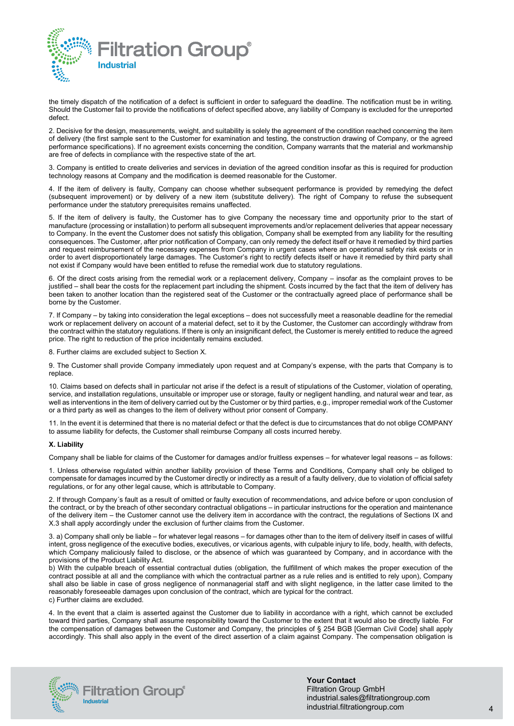

the timely dispatch of the notification of a defect is sufficient in order to safeguard the deadline. The notification must be in writing. Should the Customer fail to provide the notifications of defect specified above, any liability of Company is excluded for the unreported defect.

2. Decisive for the design, measurements, weight, and suitability is solely the agreement of the condition reached concerning the item of delivery (the first sample sent to the Customer for examination and testing, the construction drawing of Company, or the agreed performance specifications). If no agreement exists concerning the condition, Company warrants that the material and workmanship are free of defects in compliance with the respective state of the art.

3. Company is entitled to create deliveries and services in deviation of the agreed condition insofar as this is required for production technology reasons at Company and the modification is deemed reasonable for the Customer.

4. If the item of delivery is faulty, Company can choose whether subsequent performance is provided by remedying the defect (subsequent improvement) or by delivery of a new item (substitute delivery). The right of Company to refuse the subsequent performance under the statutory prerequisites remains unaffected.

5. If the item of delivery is faulty, the Customer has to give Company the necessary time and opportunity prior to the start of manufacture (processing or installation) to perform all subsequent improvements and/or replacement deliveries that appear necessary to Company. In the event the Customer does not satisfy this obligation, Company shall be exempted from any liability for the resulting consequences. The Customer, after prior notification of Company, can only remedy the defect itself or have it remedied by third parties and request reimbursement of the necessary expenses from Company in urgent cases where an operational safety risk exists or in order to avert disproportionately large damages. The Customer's right to rectify defects itself or have it remedied by third party shall not exist if Company would have been entitled to refuse the remedial work due to statutory regulations.

6. Of the direct costs arising from the remedial work or a replacement delivery, Company – insofar as the complaint proves to be justified – shall bear the costs for the replacement part including the shipment. Costs incurred by the fact that the item of delivery has been taken to another location than the registered seat of the Customer or the contractually agreed place of performance shall be borne by the Customer.

7. If Company – by taking into consideration the legal exceptions – does not successfully meet a reasonable deadline for the remedial work or replacement delivery on account of a material defect, set to it by the Customer, the Customer can accordingly withdraw from the contract within the statutory regulations. If there is only an insignificant defect, the Customer is merely entitled to reduce the agreed price. The right to reduction of the price incidentally remains excluded.

8. Further claims are excluded subject to Section X.

9. The Customer shall provide Company immediately upon request and at Company's expense, with the parts that Company is to replace.

10. Claims based on defects shall in particular not arise if the defect is a result of stipulations of the Customer, violation of operating, service, and installation regulations, unsuitable or improper use or storage, faulty or negligent handling, and natural wear and tear, as well as interventions in the item of delivery carried out by the Customer or by third parties, e.g., improper remedial work of the Customer or a third party as well as changes to the item of delivery without prior consent of Company.

11. In the event it is determined that there is no material defect or that the defect is due to circumstances that do not oblige COMPANY to assume liability for defects, the Customer shall reimburse Company all costs incurred hereby.

# **X. Liability**

Company shall be liable for claims of the Customer for damages and/or fruitless expenses – for whatever legal reasons – as follows:

1. Unless otherwise regulated within another liability provision of these Terms and Conditions, Company shall only be obliged to compensate for damages incurred by the Customer directly or indirectly as a result of a faulty delivery, due to violation of official safety regulations, or for any other legal cause, which is attributable to Company.

2. If through Company´s fault as a result of omitted or faulty execution of recommendations, and advice before or upon conclusion of the contract, or by the breach of other secondary contractual obligations – in particular instructions for the operation and maintenance of the delivery item – the Customer cannot use the delivery item in accordance with the contract, the regulations of Sections IX and X.3 shall apply accordingly under the exclusion of further claims from the Customer.

3. a) Company shall only be liable – for whatever legal reasons – for damages other than to the item of delivery itself in cases of willful intent, gross negligence of the executive bodies, executives, or vicarious agents, with culpable injury to life, body, health, with defects, which Company maliciously failed to disclose, or the absence of which was guaranteed by Company, and in accordance with the provisions of the Product Liability Act.

b) With the culpable breach of essential contractual duties (obligation, the fulfillment of which makes the proper execution of the contract possible at all and the compliance with which the contractual partner as a rule relies and is entitled to rely upon), Company shall also be liable in case of gross negligence of nonmanagerial staff and with slight negligence, in the latter case limited to the reasonably foreseeable damages upon conclusion of the contract, which are typical for the contract. c) Further claims are excluded.

4. In the event that a claim is asserted against the Customer due to liability in accordance with a right, which cannot be excluded toward third parties, Company shall assume responsibility toward the Customer to the extent that it would also be directly liable. For the compensation of damages between the Customer and Company, the principles of § 254 BGB [German Civil Code] shall apply accordingly. This shall also apply in the event of the direct assertion of a claim against Company. The compensation obligation is



**Your Contact** Filtration Group GmbH industrial.sales@filtrationgroup.com industrial.filtrationgroup.com 4